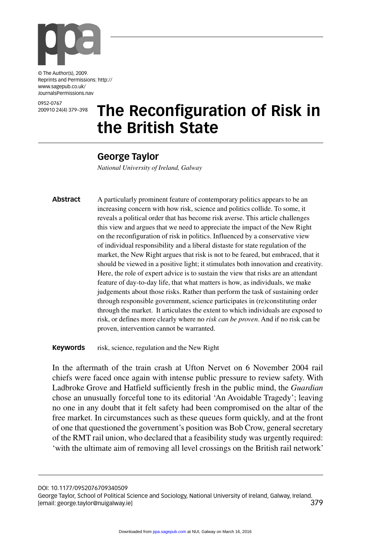

© The Author(s), 2009. Reprints and Permissions: http:// www.sagepub.co.uk/ JournalsPermissions.nav

0052-0747 200910 24(4) 379–398

# **The Reconfiguration of Risk in the British State**

## **George Taylor**

*National University of Ireland, Galway*

Abstract A particularly prominent feature of contemporary politics appears to be an increasing concern with how risk, science and politics collide. To some, it reveals a political order that has become risk averse. This article challenges this view and argues that we need to appreciate the impact of the New Right on the reconfiguration of risk in politics. Influenced by a conservative view of individual responsibility and a liberal distaste for state regulation of the market, the New Right argues that risk is not to be feared, but embraced, that it should be viewed in a positive light; it stimulates both innovation and creativity. Here, the role of expert advice is to sustain the view that risks are an attendant feature of day-to-day life, that what matters is how, as individuals, we make judgements about those risks. Rather than perform the task of sustaining order through responsible government, science participates in (re)constituting order through the market. It articulates the extent to which individuals are exposed to risk, or defines more clearly where no *risk can be proven*. And if no risk can be proven, intervention cannot be warranted.

**Keywords** risk, science, regulation and the New Right

In the aftermath of the train crash at Ufton Nervet on 6 November 2004 rail chiefs were faced once again with intense public pressure to review safety. With Ladbroke Grove and Hatfield sufficiently fresh in the public mind, the *Guardian* chose an unusually forceful tone to its editorial 'An Avoidable Tragedy'; leaving no one in any doubt that it felt safety had been compromised on the altar of the free market. In circumstances such as these queues form quickly, and at the front of one that questioned the government's position was Bob Crow, general secretary of the RMT rail union, who declared that a feasibility study was urgently required: 'with the ultimate aim of removing all level crossings on the British rail network'

DOI: 10.1177/0952076709340509 George Taylor, School of Political Science and Sociology, National University of Ireland, Galway, Ireland.<br>179. [379] Temail: george.taylor@nuigalway.iel [email: george.taylor@nuigalway.ie]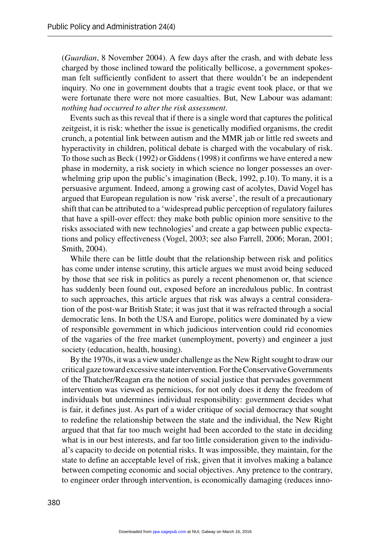(*Guardian*, 8 November 2004). A few days after the crash, and with debate less charged by those inclined toward the politically bellicose, a government spokesman felt sufficiently confident to assert that there wouldn't be an independent inquiry. No one in government doubts that a tragic event took place, or that we were fortunate there were not more casualties. But, New Labour was adamant: *nothing had occurred to alter the risk assessment*.

Events such as this reveal that if there is a single word that captures the political zeitgeist, it is risk: whether the issue is genetically modified organisms, the credit crunch, a potential link between autism and the MMR jab or little red sweets and hyperactivity in children, political debate is charged with the vocabulary of risk. To those such as Beck (1992) or Giddens (1998) it confirms we have entered a new phase in modernity, a risk society in which science no longer possesses an overwhelming grip upon the public's imagination (Beck, 1992, p.10). To many, it is a persuasive argument. Indeed, among a growing cast of acolytes, David Vogel has argued that European regulation is now 'risk averse', the result of a precautionary shift that can be attributed to a 'widespread public perception of regulatory failures that have a spill-over effect: they make both public opinion more sensitive to the risks associated with new technologies' and create a gap between public expectations and policy effectiveness (Vogel, 2003; see also Farrell, 2006; Moran, 2001; Smith, 2004).

While there can be little doubt that the relationship between risk and politics has come under intense scrutiny, this article argues we must avoid being seduced by those that see risk in politics as purely a recent phenomenon or, that science has suddenly been found out, exposed before an incredulous public. In contrast to such approaches, this article argues that risk was always a central consideration of the post-war British State; it was just that it was refracted through a social democratic lens. In both the USA and Europe, politics were dominated by a view of responsible government in which judicious intervention could rid economies of the vagaries of the free market (unemployment, poverty) and engineer a just society (education, health, housing).

By the 1970s, it was a view under challenge as the New Right sought to draw our critical gaze toward excessive state intervention. For the Conservative Governments of the Thatcher/Reagan era the notion of social justice that pervades government intervention was viewed as pernicious, for not only does it deny the freedom of individuals but undermines individual responsibility: government decides what is fair, it defines just. As part of a wider critique of social democracy that sought to redefine the relationship between the state and the individual, the New Right argued that that far too much weight had been accorded to the state in deciding what is in our best interests, and far too little consideration given to the individual's capacity to decide on potential risks. It was impossible, they maintain, for the state to define an acceptable level of risk, given that it involves making a balance between competing economic and social objectives. Any pretence to the contrary, to engineer order through intervention, is economically damaging (reduces inno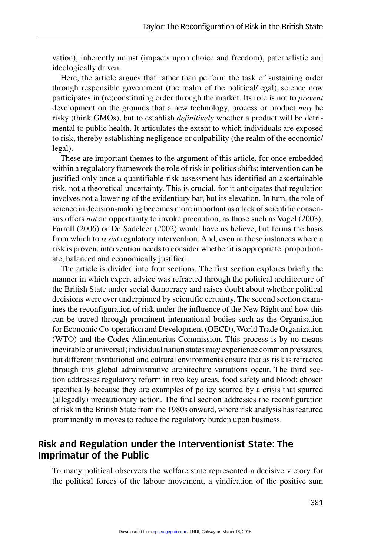vation), inherently unjust (impacts upon choice and freedom), paternalistic and ideologically driven.

Here, the article argues that rather than perform the task of sustaining order through responsible government (the realm of the political/legal), science now participates in (re)constituting order through the market. Its role is not to *prevent*  development on the grounds that a new technology, process or product *may* be risky (think GMOs), but to establish *definitively* whether a product will be detrimental to public health. It articulates the extent to which individuals are exposed to risk, thereby establishing negligence or culpability (the realm of the economic/ legal).

These are important themes to the argument of this article, for once embedded within a regulatory framework the role of risk in politics shifts: intervention can be justified only once a quantifiable risk assessment has identified an ascertainable risk, not a theoretical uncertainty. This is crucial, for it anticipates that regulation involves not a lowering of the evidentiary bar, but its elevation. In turn, the role of science in decision-making becomes more important as a lack of scientific consensus offers *not* an opportunity to invoke precaution, as those such as Vogel (2003), Farrell (2006) or De Sadeleer (2002) would have us believe, but forms the basis from which to *resist* regulatory intervention. And, even in those instances where a risk is proven, intervention needs to consider whether it is appropriate: proportionate, balanced and economically justified.

The article is divided into four sections. The first section explores briefly the manner in which expert advice was refracted through the political architecture of the British State under social democracy and raises doubt about whether political decisions were ever underpinned by scientific certainty. The second section examines the reconfiguration of risk under the influence of the New Right and how this can be traced through prominent international bodies such as the Organisation for Economic Co-operation and Development (OECD), World Trade Organization (WTO) and the Codex Alimentarius Commission. This process is by no means inevitable or universal; individual nation states may experience common pressures, but different institutional and cultural environments ensure that as risk is refracted through this global administrative architecture variations occur. The third section addresses regulatory reform in two key areas, food safety and blood: chosen specifically because they are examples of policy scarred by a crisis that spurred (allegedly) precautionary action. The final section addresses the reconfiguration of risk in the British State from the 1980s onward, where risk analysis has featured prominently in moves to reduce the regulatory burden upon business.

## **Risk and Regulation under the Interventionist State: The Imprimatur of the Public**

To many political observers the welfare state represented a decisive victory for the political forces of the labour movement, a vindication of the positive sum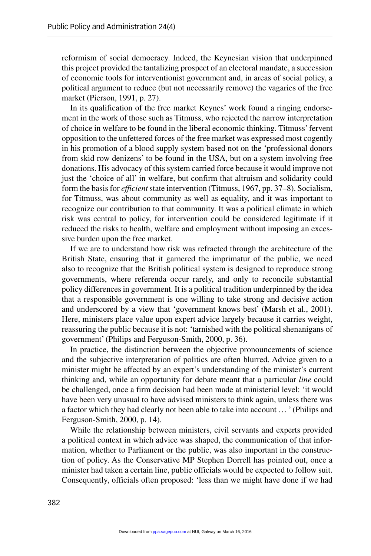reformism of social democracy. Indeed, the Keynesian vision that underpinned this project provided the tantalizing prospect of an electoral mandate, a succession of economic tools for interventionist government and, in areas of social policy, a political argument to reduce (but not necessarily remove) the vagaries of the free market (Pierson, 1991, p. 27).

In its qualification of the free market Keynes' work found a ringing endorsement in the work of those such as Titmuss, who rejected the narrow interpretation of choice in welfare to be found in the liberal economic thinking. Titmuss' fervent opposition to the unfettered forces of the free market was expressed most cogently in his promotion of a blood supply system based not on the 'professional donors from skid row denizens' to be found in the USA, but on a system involving free donations. His advocacy of this system carried force because it would improve not just the 'choice of all' in welfare, but confirm that altruism and solidarity could form the basis for *efficient* state intervention (Titmuss, 1967, pp. 37–8). Socialism, for Titmuss, was about community as well as equality, and it was important to recognize our contribution to that community. It was a political climate in which risk was central to policy, for intervention could be considered legitimate if it reduced the risks to health, welfare and employment without imposing an excessive burden upon the free market.

If we are to understand how risk was refracted through the architecture of the British State, ensuring that it garnered the imprimatur of the public, we need also to recognize that the British political system is designed to reproduce strong governments, where referenda occur rarely, and only to reconcile substantial policy differences in government. It is a political tradition underpinned by the idea that a responsible government is one willing to take strong and decisive action and underscored by a view that 'government knows best' (Marsh et al., 2001). Here, ministers place value upon expert advice largely because it carries weight, reassuring the public because it is not: 'tarnished with the political shenanigans of government' (Philips and Ferguson-Smith, 2000, p. 36).

In practice, the distinction between the objective pronouncements of science and the subjective interpretation of politics are often blurred. Advice given to a minister might be affected by an expert's understanding of the minister's current thinking and, while an opportunity for debate meant that a particular *line* could be challenged, once a firm decision had been made at ministerial level: 'it would have been very unusual to have advised ministers to think again, unless there was a factor which they had clearly not been able to take into account … ' (Philips and Ferguson-Smith, 2000, p. 14).

While the relationship between ministers, civil servants and experts provided a political context in which advice was shaped, the communication of that information, whether to Parliament or the public, was also important in the construction of policy. As the Conservative MP Stephen Dorrell has pointed out, once a minister had taken a certain line, public officials would be expected to follow suit. Consequently, officials often proposed: 'less than we might have done if we had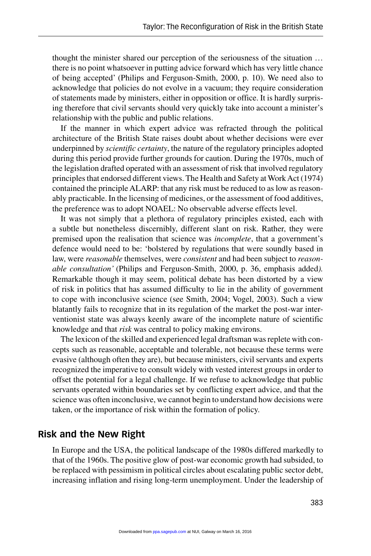thought the minister shared our perception of the seriousness of the situation … there is no point whatsoever in putting advice forward which has very little chance of being accepted' (Philips and Ferguson-Smith, 2000, p. 10). We need also to acknowledge that policies do not evolve in a vacuum; they require consideration of statements made by ministers, either in opposition or office. It is hardly surprising therefore that civil servants should very quickly take into account a minister's relationship with the public and public relations.

If the manner in which expert advice was refracted through the political architecture of the British State raises doubt about whether decisions were ever underpinned by *scientific certainty*, the nature of the regulatory principles adopted during this period provide further grounds for caution. During the 1970s, much of the legislation drafted operated with an assessment of risk that involved regulatory principles that endorsed different views. The Health and Safety at Work Act (1974) contained the principle ALARP: that any risk must be reduced to as low as reasonably practicable. In the licensing of medicines, or the assessment of food additives, the preference was to adopt NOAEL: No observable adverse effects level.

It was not simply that a plethora of regulatory principles existed, each with a subtle but nonetheless discernibly, different slant on risk. Rather, they were premised upon the realisation that science was *incomplete*, that a government's defence would need to be: 'bolstered by regulations that were soundly based in law, were *reasonable* themselves, were *consistent* and had been subject to *reasonable consultation'* (Philips and Ferguson-Smith, 2000, p. 36, emphasis added*).*  Remarkable though it may seem, political debate has been distorted by a view of risk in politics that has assumed difficulty to lie in the ability of government to cope with inconclusive science (see Smith, 2004; Vogel, 2003). Such a view blatantly fails to recognize that in its regulation of the market the post-war interventionist state was always keenly aware of the incomplete nature of scientific knowledge and that *risk* was central to policy making environs.

The lexicon of the skilled and experienced legal draftsman was replete with concepts such as reasonable, acceptable and tolerable, not because these terms were evasive (although often they are), but because ministers, civil servants and experts recognized the imperative to consult widely with vested interest groups in order to offset the potential for a legal challenge. If we refuse to acknowledge that public servants operated within boundaries set by conflicting expert advice, and that the science was often inconclusive, we cannot begin to understand how decisions were taken, or the importance of risk within the formation of policy.

## **Risk and the New Right**

In Europe and the USA, the political landscape of the 1980s differed markedly to that of the 1960s. The positive glow of post-war economic growth had subsided, to be replaced with pessimism in political circles about escalating public sector debt, increasing inflation and rising long-term unemployment. Under the leadership of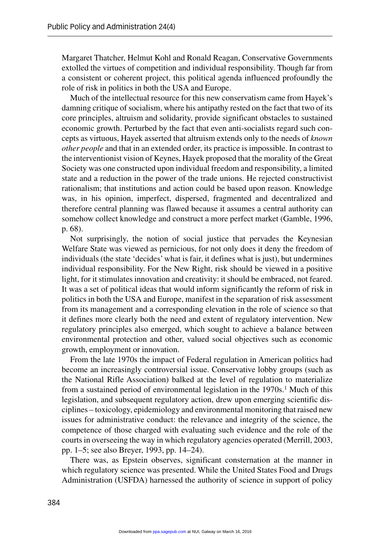Margaret Thatcher, Helmut Kohl and Ronald Reagan, Conservative Governments extolled the virtues of competition and individual responsibility. Though far from a consistent or coherent project, this political agenda influenced profoundly the role of risk in politics in both the USA and Europe.

Much of the intellectual resource for this new conservatism came from Hayek's damning critique of socialism, where his antipathy rested on the fact that two of its core principles, altruism and solidarity, provide significant obstacles to sustained economic growth. Perturbed by the fact that even anti-socialists regard such concepts as virtuous, Hayek asserted that altruism extends only to the needs of *known other people* and that in an extended order, its practice is impossible. In contrast to the interventionist vision of Keynes, Hayek proposed that the morality of the Great Society was one constructed upon individual freedom and responsibility, a limited state and a reduction in the power of the trade unions. He rejected constructivist rationalism; that institutions and action could be based upon reason. Knowledge was, in his opinion, imperfect, dispersed, fragmented and decentralized and therefore central planning was flawed because it assumes a central authority can somehow collect knowledge and construct a more perfect market (Gamble, 1996, p. 68).

Not surprisingly, the notion of social justice that pervades the Keynesian Welfare State was viewed as pernicious, for not only does it deny the freedom of individuals (the state 'decides' what is fair, it defines what is just), but undermines individual responsibility. For the New Right, risk should be viewed in a positive light, for it stimulates innovation and creativity: it should be embraced, not feared. It was a set of political ideas that would inform significantly the reform of risk in politics in both the USA and Europe, manifest in the separation of risk assessment from its management and a corresponding elevation in the role of science so that it defines more clearly both the need and extent of regulatory intervention. New regulatory principles also emerged, which sought to achieve a balance between environmental protection and other, valued social objectives such as economic growth, employment or innovation.

From the late 1970s the impact of Federal regulation in American politics had become an increasingly controversial issue. Conservative lobby groups (such as the National Rifle Association) balked at the level of regulation to materialize from a sustained period of environmental legislation in the 1970s.<sup>1</sup> Much of this legislation, and subsequent regulatory action, drew upon emerging scientific disciplines – toxicology, epidemiology and environmental monitoring that raised new issues for administrative conduct: the relevance and integrity of the science, the competence of those charged with evaluating such evidence and the role of the courts in overseeing the way in which regulatory agencies operated (Merrill, 2003, pp. 1–5; see also Breyer, 1993, pp. 14–24).

There was, as Epstein observes, significant consternation at the manner in which regulatory science was presented. While the United States Food and Drugs Administration (USFDA) harnessed the authority of science in support of policy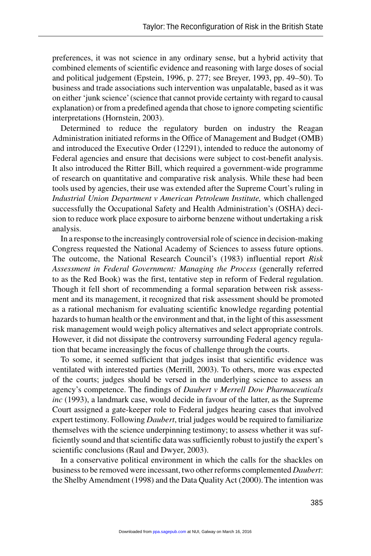preferences, it was not science in any ordinary sense, but a hybrid activity that combined elements of scientific evidence and reasoning with large doses of social and political judgement (Epstein, 1996, p. 277; see Breyer, 1993, pp. 49–50). To business and trade associations such intervention was unpalatable, based as it was on either 'junk science' (science that cannot provide certainty with regard to causal explanation) or from a predefined agenda that chose to ignore competing scientific interpretations (Hornstein, 2003).

Determined to reduce the regulatory burden on industry the Reagan Administration initiated reforms in the Office of Management and Budget (OMB) and introduced the Executive Order (12291), intended to reduce the autonomy of Federal agencies and ensure that decisions were subject to cost-benefit analysis. It also introduced the Ritter Bill, which required a government-wide programme of research on quantitative and comparative risk analysis. While these had been tools used by agencies, their use was extended after the Supreme Court's ruling in *Industrial Union Department v American Petroleum Institute,* which challenged successfully the Occupational Safety and Health Administration's (OSHA) decision to reduce work place exposure to airborne benzene without undertaking a risk analysis.

In a response to the increasingly controversial role of science in decision-making Congress requested the National Academy of Sciences to assess future options. The outcome, the National Research Council's (1983) influential report *Risk Assessment in Federal Government: Managing the Process* (generally referred to as the Red Book) was the first, tentative step in reform of Federal regulation. Though it fell short of recommending a formal separation between risk assessment and its management, it recognized that risk assessment should be promoted as a rational mechanism for evaluating scientific knowledge regarding potential hazards to human health or the environment and that, in the light of this assessment risk management would weigh policy alternatives and select appropriate controls. However, it did not dissipate the controversy surrounding Federal agency regulation that became increasingly the focus of challenge through the courts.

To some, it seemed sufficient that judges insist that scientific evidence was ventilated with interested parties (Merrill, 2003). To others, more was expected of the courts; judges should be versed in the underlying science to assess an agency's competence. The findings of *Daubert v Merrell Dow Pharmaceuticals inc* (1993), a landmark case, would decide in favour of the latter, as the Supreme Court assigned a gate-keeper role to Federal judges hearing cases that involved expert testimony. Following *Daubert*, trial judges would be required to familiarize themselves with the science underpinning testimony; to assess whether it was sufficiently sound and that scientific data was sufficiently robust to justify the expert's scientific conclusions (Raul and Dwyer, 2003).

In a conservative political environment in which the calls for the shackles on business to be removed were incessant, two other reforms complemented *Daubert*: the Shelby Amendment (1998) and the Data Quality Act (2000).The intention was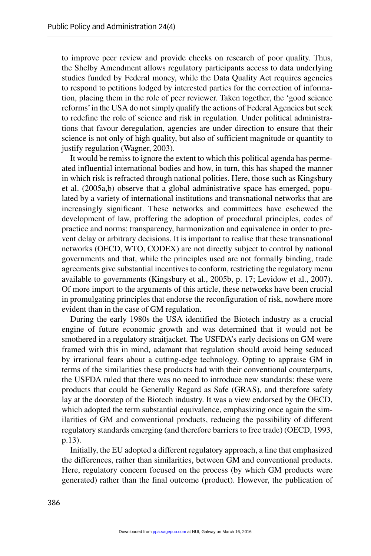to improve peer review and provide checks on research of poor quality. Thus, the Shelby Amendment allows regulatory participants access to data underlying studies funded by Federal money, while the Data Quality Act requires agencies to respond to petitions lodged by interested parties for the correction of information, placing them in the role of peer reviewer. Taken together, the 'good science reforms' in the USA do not simply qualify the actions of Federal Agencies but seek to redefine the role of science and risk in regulation. Under political administrations that favour deregulation, agencies are under direction to ensure that their science is not only of high quality, but also of sufficient magnitude or quantity to justify regulation (Wagner, 2003).

It would be remiss to ignore the extent to which this political agenda has permeated influential international bodies and how, in turn, this has shaped the manner in which risk is refracted through national polities. Here, those such as Kingsbury et al. (2005a,b) observe that a global administrative space has emerged, populated by a variety of international institutions and transnational networks that are increasingly significant. These networks and committees have eschewed the development of law, proffering the adoption of procedural principles, codes of practice and norms: transparency, harmonization and equivalence in order to prevent delay or arbitrary decisions. It is important to realise that these transnational networks (OECD, WTO, CODEX) are not directly subject to control by national governments and that, while the principles used are not formally binding, trade agreements give substantial incentives to conform, restricting the regulatory menu available to governments **(**Kingsbury et al., 2005b, p. 17; Levidow et al., 2007). Of more import to the arguments of this article, these networks have been crucial in promulgating principles that endorse the reconfiguration of risk, nowhere more evident than in the case of GM regulation.

During the early 1980s the USA identified the Biotech industry as a crucial engine of future economic growth and was determined that it would not be smothered in a regulatory straitjacket. The USFDA's early decisions on GM were framed with this in mind, adamant that regulation should avoid being seduced by irrational fears about a cutting-edge technology. Opting to appraise GM in terms of the similarities these products had with their conventional counterparts, the USFDA ruled that there was no need to introduce new standards: these were products that could be Generally Regard as Safe (GRAS), and therefore safety lay at the doorstep of the Biotech industry. It was a view endorsed by the OECD, which adopted the term substantial equivalence, emphasizing once again the similarities of GM and conventional products, reducing the possibility of different regulatory standards emerging (and therefore barriers to free trade) (OECD, 1993, p.13).

Initially, the EU adopted a different regulatory approach, a line that emphasized the differences, rather than similarities, between GM and conventional products. Here, regulatory concern focused on the process (by which GM products were generated) rather than the final outcome (product). However, the publication of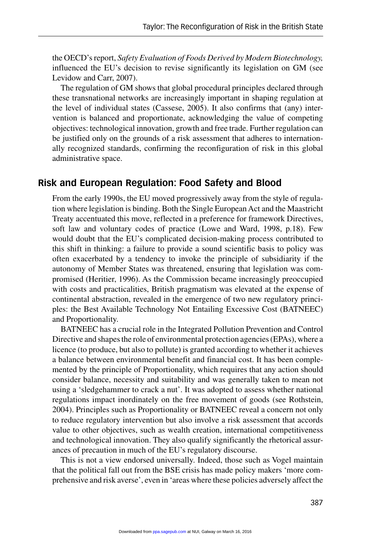the OECD's report, *Safety Evaluation of Foods Derived by Modern Biotechnology,*  influenced the EU's decision to revise significantly its legislation on GM (see Levidow and Carr, 2007).

The regulation of GM shows that global procedural principles declared through these transnational networks are increasingly important in shaping regulation at the level of individual states (Cassese, 2005). It also confirms that (any) intervention is balanced and proportionate, acknowledging the value of competing objectives: technological innovation, growth and free trade. Further regulation can be justified only on the grounds of a risk assessment that adheres to internationally recognized standards, confirming the reconfiguration of risk in this global administrative space.

## **Risk and European Regulation: Food Safety and Blood**

From the early 1990s, the EU moved progressively away from the style of regulation where legislation is binding. Both the Single European Act and the Maastricht Treaty accentuated this move, reflected in a preference for framework Directives, soft law and voluntary codes of practice (Lowe and Ward, 1998, p.18). Few would doubt that the EU's complicated decision-making process contributed to this shift in thinking: a failure to provide a sound scientific basis to policy was often exacerbated by a tendency to invoke the principle of subsidiarity if the autonomy of Member States was threatened, ensuring that legislation was compromised (Heritier, 1996). As the Commission became increasingly preoccupied with costs and practicalities, British pragmatism was elevated at the expense of continental abstraction, revealed in the emergence of two new regulatory principles: the Best Available Technology Not Entailing Excessive Cost (BATNEEC) and Proportionality.

BATNEEC has a crucial role in the Integrated Pollution Prevention and Control Directive and shapes the role of environmental protection agencies (EPAs), where a licence (to produce, but also to pollute) is granted according to whether it achieves a balance between environmental benefit and financial cost. It has been complemented by the principle of Proportionality, which requires that any action should consider balance, necessity and suitability and was generally taken to mean not using a 'sledgehammer to crack a nut'. It was adopted to assess whether national regulations impact inordinately on the free movement of goods (see Rothstein, 2004). Principles such as Proportionality or BATNEEC reveal a concern not only to reduce regulatory intervention but also involve a risk assessment that accords value to other objectives, such as wealth creation, international competitiveness and technological innovation. They also qualify significantly the rhetorical assurances of precaution in much of the EU's regulatory discourse.

This is not a view endorsed universally. Indeed, those such as Vogel maintain that the political fall out from the BSE crisis has made policy makers 'more comprehensive and risk averse', even in 'areas where these policies adversely affect the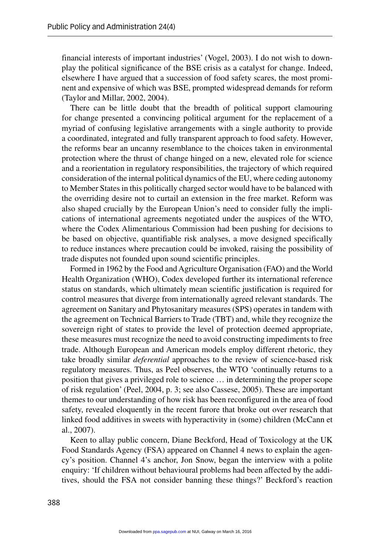financial interests of important industries' (Vogel, 2003). I do not wish to downplay the political significance of the BSE crisis as a catalyst for change. Indeed, elsewhere I have argued that a succession of food safety scares, the most prominent and expensive of which was BSE, prompted widespread demands for reform (Taylor and Millar, 2002, 2004).

There can be little doubt that the breadth of political support clamouring for change presented a convincing political argument for the replacement of a myriad of confusing legislative arrangements with a single authority to provide a coordinated, integrated and fully transparent approach to food safety. However, the reforms bear an uncanny resemblance to the choices taken in environmental protection where the thrust of change hinged on a new, elevated role for science and a reorientation in regulatory responsibilities, the trajectory of which required consideration of the internal political dynamics of the EU, where ceding autonomy to Member States in this politically charged sector would have to be balanced with the overriding desire not to curtail an extension in the free market. Reform was also shaped crucially by the European Union's need to consider fully the implications of international agreements negotiated under the auspices of the WTO, where the Codex Alimentarious Commission had been pushing for decisions to be based on objective, quantifiable risk analyses, a move designed specifically to reduce instances where precaution could be invoked, raising the possibility of trade disputes not founded upon sound scientific principles.

Formed in 1962 by the Food and Agriculture Organisation (FAO) and the World Health Organization (WHO), Codex developed further its international reference status on standards, which ultimately mean scientific justification is required for control measures that diverge from internationally agreed relevant standards. The agreement on Sanitary and Phytosanitary measures (SPS) operates in tandem with the agreement on Technical Barriers to Trade (TBT) and, while they recognize the sovereign right of states to provide the level of protection deemed appropriate, these measures must recognize the need to avoid constructing impediments to free trade. Although European and American models employ different rhetoric, they take broadly similar *deferential* approaches to the review of science-based risk regulatory measures. Thus, as Peel observes, the WTO 'continually returns to a position that gives a privileged role to science … in determining the proper scope of risk regulation' (Peel, 2004, p. 3; see also Cassese, 2005). These are important themes to our understanding of how risk has been reconfigured in the area of food safety, revealed eloquently in the recent furore that broke out over research that linked food additives in sweets with hyperactivity in (some) children (McCann et al., 2007).

Keen to allay public concern, Diane Beckford, Head of Toxicology at the UK Food Standards Agency (FSA) appeared on Channel 4 news to explain the agency's position. Channel 4's anchor, Jon Snow, began the interview with a polite enquiry: 'If children without behavioural problems had been affected by the additives, should the FSA not consider banning these things?' Beckford's reaction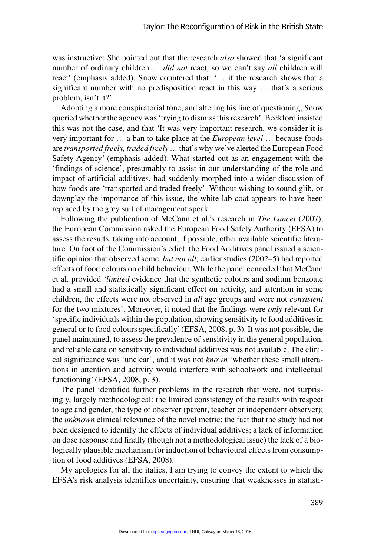was instructive: She pointed out that the research *also* showed that 'a significant number of ordinary children … *did not* react, so we can't say *all* children will react' (emphasis added). Snow countered that: '… if the research shows that a significant number with no predisposition react in this way … that's a serious problem, isn't it?'

Adopting a more conspiratorial tone, and altering his line of questioning, Snow queried whether the agency was 'trying to dismiss this research'. Beckford insisted this was not the case, and that 'It was very important research, we consider it is very important for … a ban to take place at the *European level* … because foods are *transported freely, traded freely …* that's why we've alerted the European Food Safety Agency' (emphasis added). What started out as an engagement with the 'findings of science', presumably to assist in our understanding of the role and impact of artificial additives, had suddenly morphed into a wider discussion of how foods are 'transported and traded freely'. Without wishing to sound glib, or downplay the importance of this issue, the white lab coat appears to have been replaced by the grey suit of management speak.

Following the publication of McCann et al.'s research in *The Lancet* (2007), the European Commission asked the European Food Safety Authority (EFSA) to assess the results, taking into account, if possible, other available scientific literature. On foot of the Commission's edict, the Food Additives panel issued a scientific opinion that observed some, *but not all,* earlier studies (2002–5) had reported effects of food colours on child behaviour. While the panel conceded that McCann et al. provided '*limited* evidence that the synthetic colours and sodium benzoate had a small and statistically significant effect on activity, and attention in some children, the effects were not observed in *all* age groups and were not *consistent* for the two mixtures'. Moreover, it noted that the findings were *only* relevant for 'specific individuals within the population, showing sensitivity to food additives in general or to food colours specifically' (EFSA, 2008, p. 3). It was not possible, the panel maintained, to assess the prevalence of sensitivity in the general population, and reliable data on sensitivity to individual additives was not available. The clinical significance was 'unclear', and it was not *known* 'whether these small alterations in attention and activity would interfere with schoolwork and intellectual functioning' (EFSA, 2008, p. 3).

The panel identified further problems in the research that were, not surprisingly, largely methodological: the limited consistency of the results with respect to age and gender, the type of observer (parent, teacher or independent observer); the *unknown* clinical relevance of the novel metric; the fact that the study had not been designed to identify the effects of individual additives; a lack of information on dose response and finally (though not a methodological issue) the lack of a biologically plausible mechanism for induction of behavioural effects from consumption of food additives (EFSA, 2008).

My apologies for all the italics, I am trying to convey the extent to which the EFSA's risk analysis identifies uncertainty, ensuring that weaknesses in statisti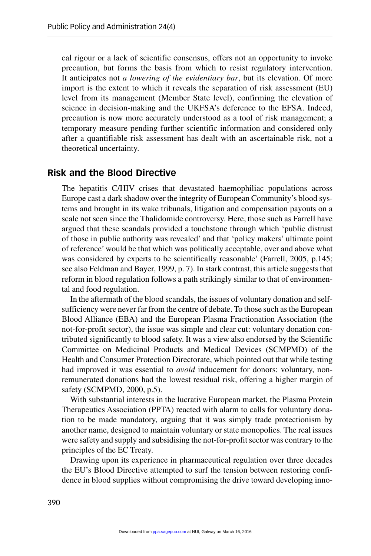cal rigour or a lack of scientific consensus, offers not an opportunity to invoke precaution, but forms the basis from which to resist regulatory intervention. It anticipates not *a lowering of the evidentiary bar*, but its elevation. Of more import is the extent to which it reveals the separation of risk assessment (EU) level from its management (Member State level), confirming the elevation of science in decision-making and the UKFSA's deference to the EFSA. Indeed, precaution is now more accurately understood as a tool of risk management; a temporary measure pending further scientific information and considered only after a quantifiable risk assessment has dealt with an ascertainable risk, not a theoretical uncertainty.

#### **Risk and the Blood Directive**

The hepatitis C/HIV crises that devastated haemophiliac populations across Europe cast a dark shadow over the integrity of European Community's blood systems and brought in its wake tribunals, litigation and compensation payouts on a scale not seen since the Thalidomide controversy. Here, those such as Farrell have argued that these scandals provided a touchstone through which 'public distrust of those in public authority was revealed' and that 'policy makers' ultimate point of reference' would be that which was politically acceptable, over and above what was considered by experts to be scientifically reasonable' (Farrell, 2005, p.145; see also Feldman and Bayer, 1999, p. 7). In stark contrast, this article suggests that reform in blood regulation follows a path strikingly similar to that of environmental and food regulation.

In the aftermath of the blood scandals, the issues of voluntary donation and selfsufficiency were never far from the centre of debate. To those such as the European Blood Alliance (EBA) and the European Plasma Fractionation Association (the not-for-profit sector), the issue was simple and clear cut: voluntary donation contributed significantly to blood safety. It was a view also endorsed by the Scientific Committee on Medicinal Products and Medical Devices (SCMPMD) of the Health and Consumer Protection Directorate, which pointed out that while testing had improved it was essential to *avoid* inducement for donors: voluntary, nonremunerated donations had the lowest residual risk, offering a higher margin of safety (SCMPMD, 2000, p.5).

With substantial interests in the lucrative European market, the Plasma Protein Therapeutics Association (PPTA) reacted with alarm to calls for voluntary donation to be made mandatory, arguing that it was simply trade protectionism by another name, designed to maintain voluntary or state monopolies. The real issues were safety and supply and subsidising the not-for-profit sector was contrary to the principles of the EC Treaty.

Drawing upon its experience in pharmaceutical regulation over three decades the EU's Blood Directive attempted to surf the tension between restoring confidence in blood supplies without compromising the drive toward developing inno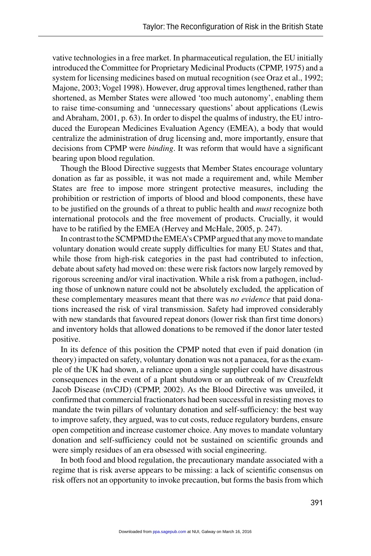vative technologies in a free market. In pharmaceutical regulation, the EU initially introduced the Committee for Proprietary Medicinal Products (CPMP, 1975) and a system for licensing medicines based on mutual recognition (see Oraz et al., 1992; Majone, 2003; Vogel 1998). However, drug approval times lengthened, rather than shortened, as Member States were allowed 'too much autonomy', enabling them to raise time-consuming and 'unnecessary questions' about applications (Lewis and Abraham, 2001, p. 63). In order to dispel the qualms of industry, the EU introduced the European Medicines Evaluation Agency (EMEA), a body that would centralize the administration of drug licensing and, more importantly, ensure that decisions from CPMP were *binding*. It was reform that would have a significant bearing upon blood regulation.

Though the Blood Directive suggests that Member States encourage voluntary donation as far as possible, it was not made a requirement and, while Member States are free to impose more stringent protective measures, including the prohibition or restriction of imports of blood and blood components, these have to be justified on the grounds of a threat to public health and *must* recognize both international protocols and the free movement of products. Crucially, it would have to be ratified by the EMEA (Hervey and McHale, 2005, p. 247).

In contrast to the SCMPMD the EMEA's CPMP argued that any move tomandate voluntary donation would create supply difficulties for many EU States and that, while those from high-risk categories in the past had contributed to infection, debate about safety had moved on: these were risk factors now largely removed by rigorous screening and/or viral inactivation. While a risk from a pathogen, including those of unknown nature could not be absolutely excluded*,* the application of these complementary measures meant that there was *no evidence* that paid donations increased the risk of viral transmission. Safety had improved considerably with new standards that favoured repeat donors (lower risk than first time donors) and inventory holds that allowed donations to be removed if the donor later tested positive.

In its defence of this position the CPMP noted that even if paid donation (in theory) impacted on safety, voluntary donation was not a panacea, for as the example of the UK had shown, a reliance upon a single supplier could have disastrous consequences in the event of a plant shutdown or an outbreak of nv Creuzfeldt Jacob Disease (nvCJD) (CPMP, 2002). As the Blood Directive was unveiled, it confirmed that commercial fractionators had been successful in resisting moves to mandate the twin pillars of voluntary donation and self-sufficiency: the best way to improve safety, they argued, was to cut costs, reduce regulatory burdens, ensure open competition and increase customer choice. Any moves to mandate voluntary donation and self-sufficiency could not be sustained on scientific grounds and were simply residues of an era obsessed with social engineering.

In both food and blood regulation, the precautionary mandate associated with a regime that is risk averse appears to be missing: a lack of scientific consensus on risk offers not an opportunity to invoke precaution, but forms the basis from which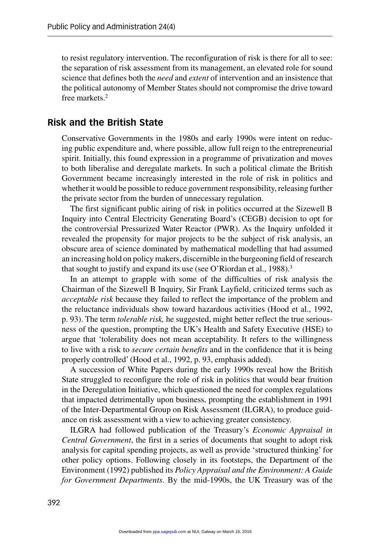to resist regulatory intervention. The reconfiguration of risk is there for all to see: the separation of risk assessment from its management, an elevated role for sound science that defines both the *need* and *extent* of intervention and an insistence that the political autonomy of Member States should not compromise the drive toward free markets.2

#### **Risk and the British State**

Conservative Governments in the 1980s and early 1990s were intent on reducing public expenditure and, where possible, allow full reign to the entrepreneurial spirit. Initially, this found expression in a programme of privatization and moves to both liberalise and deregulate markets. In such a political climate the British Government became increasingly interested in the role of risk in politics and whether it would be possible to reduce government responsibility, releasing further the private sector from the burden of unnecessary regulation.

The first significant public airing of risk in politics occurred at the Sizewell B Inquiry into Central Electricity Generating Board's (CEGB) decision to opt for the controversial Pressurized Water Reactor (PWR). As the Inquiry unfolded it revealed the propensity for major projects to be the subject of risk analysis, an obscure area of science dominated by mathematical modelling that had assumed an increasing hold on policy makers, discernible in the burgeoning field of research that sought to justify and expand its use (see O'Riordan et al., 1988).<sup>3</sup>

In an attempt to grapple with some of the difficulties of risk analysis the Chairman of the Sizewell B Inquiry, Sir Frank Layfield, criticized terms such as *acceptable risk* because they failed to reflect the importance of the problem and the reluctance individuals show toward hazardous activities (Hood et al., 1992, p. 93). The term *tolerable risk,* he suggested, might better reflect the true seriousness of the question, prompting the UK's Health and Safety Executive (HSE) to argue that 'tolerability does not mean acceptability. It refers to the willingness to live with a risk to *secure certain benefits* and in the confidence that it is being properly controlled' (Hood et al., 1992, p. 93, emphasis added).

A succession of White Papers during the early 1990s reveal how the British State struggled to reconfigure the role of risk in politics that would bear fruition in the Deregulation Initiative, which questioned the need for complex regulations that impacted detrimentally upon business, prompting the establishment in 1991 of the Inter-Departmental Group on Risk Assessment (ILGRA), to produce guidance on risk assessment with a view to achieving greater consistency.

ILGRA had followed publication of the Treasury's *Economic Appraisal in Central Government*, the first in a series of documents that sought to adopt risk analysis for capital spending projects, as well as provide 'structured thinking' for other policy options. Following closely in its footsteps, the Department of the Environment (1992) published its *Policy Appraisal and the Environment: A Guide for Government Departments*. By the mid-1990s, the UK Treasury was of the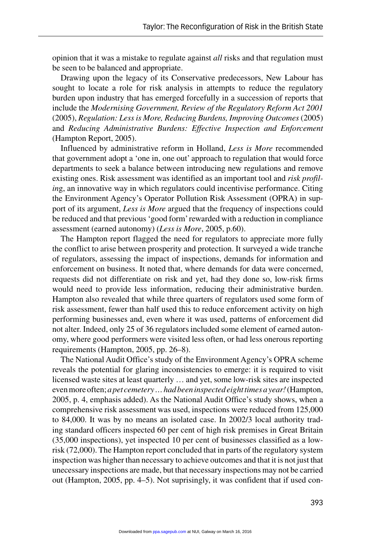opinion that it was a mistake to regulate against *all* risks and that regulation must be seen to be balanced and appropriate.

Drawing upon the legacy of its Conservative predecessors, New Labour has sought to locate a role for risk analysis in attempts to reduce the regulatory burden upon industry that has emerged forcefully in a succession of reports that include the *Modernising Government, Review of the Regulatory Reform Act 2001* (2005), *Regulation: Less is More, Reducing Burdens, Improving Outcomes* (2005) and *Reducing Administrative Burdens: Effective Inspection and Enforcement*  (Hampton Report, 2005).

Influenced by administrative reform in Holland, *Less is More* recommended that government adopt a 'one in, one out' approach to regulation that would force departments to seek a balance between introducing new regulations and remove existing ones. Risk assessment was identified as an important tool and *risk profiling*, an innovative way in which regulators could incentivise performance. Citing the Environment Agency's Operator Pollution Risk Assessment (OPRA) in support of its argument, *Less is More* argued that the frequency of inspections could be reduced and that previous 'good form' rewarded with a reduction in compliance assessment (earned autonomy) (*Less is More*, 2005, p.60).

The Hampton report flagged the need for regulators to appreciate more fully the conflict to arise between prosperity and protection. It surveyed a wide tranche of regulators, assessing the impact of inspections, demands for information and enforcement on business. It noted that, where demands for data were concerned, requests did not differentiate on risk and yet, had they done so, low-risk firms would need to provide less information, reducing their administrative burden. Hampton also revealed that while three quarters of regulators used some form of risk assessment, fewer than half used this to reduce enforcement activity on high performing businesses and, even where it was used, patterns of enforcement did not alter. Indeed, only 25 of 36 regulators included some element of earned autonomy, where good performers were visited less often, or had less onerous reporting requirements (Hampton, 2005, pp. 26–8).

The National Audit Office's study of the Environment Agency's OPRA scheme reveals the potential for glaring inconsistencies to emerge: it is required to visit licensed waste sites at least quarterly … and yet, some low-risk sites are inspected even more often; *a pet cemetery … had been inspected eight times a year!* (Hampton, 2005, p. 4, emphasis added). As the National Audit Office's study shows, when a comprehensive risk assessment was used, inspections were reduced from 125,000 to 84,000. It was by no means an isolated case. In 2002/3 local authority trading standard officers inspected 60 per cent of high risk premises in Great Britain (35,000 inspections), yet inspected 10 per cent of businesses classified as a lowrisk (72,000). The Hampton report concluded that in parts of the regulatory system inspection was higher than necessary to achieve outcomes and that it is not just that unecessary inspections are made, but that necessary inspections may not be carried out (Hampton, 2005, pp. 4–5). Not suprisingly, it was confident that if used con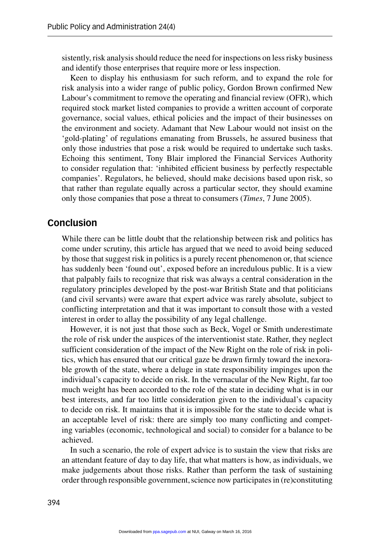sistently, risk analysis should reduce the need for inspections on less risky business and identify those enterprises that require more or less inspection.

Keen to display his enthusiasm for such reform, and to expand the role for risk analysis into a wider range of public policy, Gordon Brown confirmed New Labour's commitment to remove the operating and financial review (OFR), which required stock market listed companies to provide a written account of corporate governance, social values, ethical policies and the impact of their businesses on the environment and society. Adamant that New Labour would not insist on the 'gold-plating' of regulations emanating from Brussels, he assured business that only those industries that pose a risk would be required to undertake such tasks. Echoing this sentiment, Tony Blair implored the Financial Services Authority to consider regulation that: 'inhibited efficient business by perfectly respectable companies'. Regulators, he believed, should make decisions based upon risk, so that rather than regulate equally across a particular sector, they should examine only those companies that pose a threat to consumers (*Times*, 7 June 2005).

#### **Conclusion**

While there can be little doubt that the relationship between risk and politics has come under scrutiny, this article has argued that we need to avoid being seduced by those that suggest risk in politics is a purely recent phenomenon or, that science has suddenly been 'found out', exposed before an incredulous public. It is a view that palpably fails to recognize that risk was always a central consideration in the regulatory principles developed by the post-war British State and that politicians (and civil servants) were aware that expert advice was rarely absolute, subject to conflicting interpretation and that it was important to consult those with a vested interest in order to allay the possibility of any legal challenge.

However, it is not just that those such as Beck, Vogel or Smith underestimate the role of risk under the auspices of the interventionist state. Rather, they neglect sufficient consideration of the impact of the New Right on the role of risk in politics, which has ensured that our critical gaze be drawn firmly toward the inexorable growth of the state, where a deluge in state responsibility impinges upon the individual's capacity to decide on risk. In the vernacular of the New Right, far too much weight has been accorded to the role of the state in deciding what is in our best interests, and far too little consideration given to the individual's capacity to decide on risk. It maintains that it is impossible for the state to decide what is an acceptable level of risk: there are simply too many conflicting and competing variables (economic, technological and social) to consider for a balance to be achieved.

In such a scenario, the role of expert advice is to sustain the view that risks are an attendant feature of day to day life, that what matters is how, as individuals, we make judgements about those risks. Rather than perform the task of sustaining order through responsible government, science now participates in (re)constituting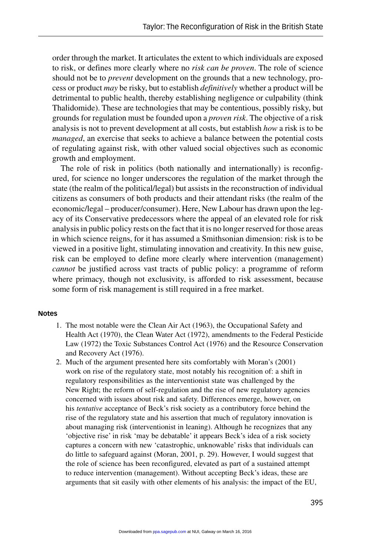order through the market. It articulates the extent to which individuals are exposed to risk, or defines more clearly where no *risk can be proven*. The role of science should not be to *prevent* development on the grounds that a new technology, process or product *may* be risky, but to establish *definitively* whether a product will be detrimental to public health, thereby establishing negligence or culpability (think Thalidomide). These are technologies that may be contentious, possibly risky, but grounds for regulation must be founded upon a *proven risk*. The objective of a risk analysis is not to prevent development at all costs, but establish *how* a risk is to be *managed*, an exercise that seeks to achieve a balance between the potential costs of regulating against risk, with other valued social objectives such as economic growth and employment.

The role of risk in politics (both nationally and internationally) is reconfigured, for science no longer underscores the regulation of the market through the state (the realm of the political/legal) but assists in the reconstruction of individual citizens as consumers of both products and their attendant risks (the realm of the economic/legal – producer/consumer). Here, New Labour has drawn upon the legacy of its Conservative predecessors where the appeal of an elevated role for risk analysis in public policy rests on the fact that it is no longer reserved for those areas in which science reigns, for it has assumed a Smithsonian dimension: risk is to be viewed in a positive light, stimulating innovation and creativity. In this new guise, risk can be employed to define more clearly where intervention (management) *cannot* be justified across vast tracts of public policy: a programme of reform where primacy, though not exclusivity, is afforded to risk assessment, because some form of risk management is still required in a free market.

#### **Notes**

- 1. The most notable were the Clean Air Act (1963), the Occupational Safety and Health Act (1970), the Clean Water Act (1972), amendments to the Federal Pesticide Law (1972) the Toxic Substances Control Act (1976) and the Resource Conservation and Recovery Act (1976).
- 2. Much of the argument presented here sits comfortably with Moran's (2001) work on rise of the regulatory state, most notably his recognition of: a shift in regulatory responsibilities as the interventionist state was challenged by the New Right; the reform of self-regulation and the rise of new regulatory agencies concerned with issues about risk and safety. Differences emerge, however, on his *tentative* acceptance of Beck's risk society as a contributory force behind the rise of the regulatory state and his assertion that much of regulatory innovation is about managing risk (interventionist in leaning). Although he recognizes that any 'objective rise' in risk 'may be debatable' it appears Beck's idea of a risk society captures a concern with new 'catastrophic, unknowable' risks that individuals can do little to safeguard against (Moran, 2001, p. 29). However, I would suggest that the role of science has been reconfigured, elevated as part of a sustained attempt to reduce intervention (management). Without accepting Beck's ideas, these are arguments that sit easily with other elements of his analysis: the impact of the EU,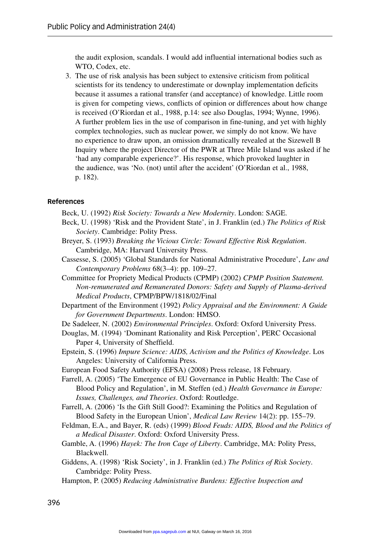the audit explosion, scandals. I would add influential international bodies such as WTO, Codex, etc.

3. The use of risk analysis has been subject to extensive criticism from political scientists for its tendency to underestimate or downplay implementation deficits because it assumes a rational transfer (and acceptance) of knowledge. Little room is given for competing views, conflicts of opinion or differences about how change is received (O'Riordan et al., 1988, p.14: see also Douglas, 1994; Wynne, 1996). A further problem lies in the use of comparison in fine-tuning, and yet with highly complex technologies, such as nuclear power, we simply do not know. We have no experience to draw upon, an omission dramatically revealed at the Sizewell B Inquiry where the project Director of the PWR at Three Mile Island was asked if he 'had any comparable experience?'. His response, which provoked laughter in the audience, was 'No. (not) until after the accident' (O'Riordan et al., 1988, p. 182).

#### **References**

Beck, U. (1992) *Risk Society: Towards a New Modernity*. London: SAGE.

- Beck, U. (1998) 'Risk and the Provident State', in J. Franklin (ed.) *The Politics of Risk Society*. Cambridge: Polity Press.
- Breyer, S. (1993) *Breaking the Vicious Circle: Toward Effective Risk Regulation*. Cambridge, MA: Harvard University Press.
- Cassesse, S. (2005) 'Global Standards for National Administrative Procedure', *Law and Contemporary Problems* 68(3–4): pp. 109–27.

Committee for Propriety Medical Products (CPMP) (2002) *CPMP Position Statement. Non-remunerated and Remunerated Donors: Safety and Supply of Plasma-derived Medical Products*, CPMP/BPW/1818/02/Final

Department of the Environment (1992) *Policy Appraisal and the Environment: A Guide for Government Departments*. London: HMSO.

- De Sadeleer, N. (2002) *Environmental Principles*. Oxford: Oxford University Press.
- Douglas, M. (1994) 'Dominant Rationality and Risk Perception', PERC Occasional Paper 4, University of Sheffield.

Epstein, S. (1996) *Impure Science: AIDS, Activism and the Politics of Knowledge*. Los Angeles: University of California Press.

European Food Safety Authority (EFSA) (2008) Press release, 18 February.

Farrell, A. (2005) 'The Emergence of EU Governance in Public Health: The Case of Blood Policy and Regulation', in M. Steffen (ed.) *Health Governance in Europe: Issues, Challenges, and Theories*. Oxford: Routledge.

Farrell, A. (2006) 'Is the Gift Still Good?: Examining the Politics and Regulation of Blood Safety in the European Union', *Medical Law Review* 14(2): pp. 155–79.

- Feldman, E.A., and Bayer, R. (eds) (1999) *Blood Feuds: AIDS, Blood and the Politics of a Medical Disaster*. Oxford: Oxford University Press.
- Gamble, A. (1996) *Hayek: The Iron Cage of Liberty*. Cambridge, MA: Polity Press, Blackwell.
- Giddens, A. (1998) 'Risk Society', in J. Franklin (ed.) *The Politics of Risk Society*. Cambridge: Polity Press.
- Hampton, P. (2005) *Reducing Administrative Burdens: Effective Inspection and*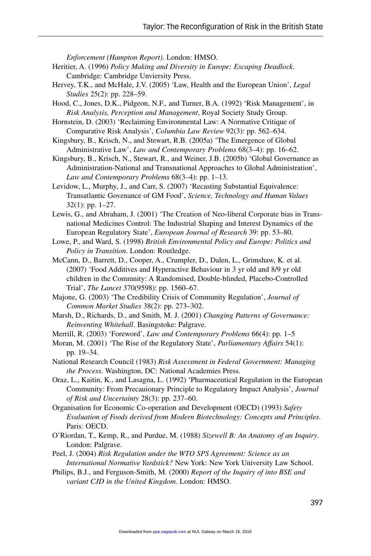*Enforcement (Hampton Report)*. London: HMSO.

- Heritier, A. (1996) *Policy Making and Diversity in Europe: Escaping Deadlock*. Cambridge: Cambridge Unviersity Press.
- Hervey, T.K., and McHale, J.V. (2005) 'Law, Health and the European Union', *Legal Studies* 25(2): pp. 228–59.
- Hood, C., Jones, D.K., Pidgeon, N.F., and Turner, B.A. (1992) 'Risk Management', in *Risk Analysis, Perception and Management*, Royal Society Study Group.
- Hornstein, D. (2003) 'Reclaiming Environmental Law: A Normative Critique of Comparative Risk Analysis', *Columbia Law Review* 92(3): pp. 562–634.
- Kingsbury, B., Krisch, N., and Stewart, R.B. (2005a) 'The Emergence of Global Administrative Law', *Law and Contemporary Problems* 68(3–4): pp. 16–62.
- Kingsbury, B., Krisch, N., Stewart, R., and Weiner, J.B. (2005b) 'Global Governance as Administration-National and Transnational Approaches to Global Administration', *Law and Contemporary Problems* 68(3–4): pp. 1–13.
- Levidow, L., Murphy, J., and Carr, S. (2007) 'Recasting Substantial Equivalence: Transatlantic Govenance of GM Food', *Science, Technology and Human Values* 32(1): pp. 1–27.
- Lewis, G., and Abraham, J. (2001) 'The Creation of Neo-liberal Corporate bias in Transnational Medicines Control: The Industrial Shaping and Interest Dynamics of the European Regulatory State', *European Journal of Research* 39: pp. 53–80.

Lowe, P., and Ward, S. (1998) *British Environmental Policy and Europe: Politics and Policy in Transition*. London: Routledge.

- McCann, D., Barrett, D., Cooper, A., Crumpler, D., Dalen, L., Grimshaw, K. et al. (2007) 'Food Additives and Hyperactive Behaviour in 3 yr old and 8/9 yr old children in the Commnity: A Randomised, Double-blinded, Placebo-Controlled Trial', *The Lancet* 370(9598): pp. 1560–67.
- Majone, G. (2003) 'The Credibility Crisis of Community Regulation', *Journal of Common Market Studies* 38(2): pp. 273–302.
- Marsh, D., Richards, D., and Smith, M. J. (2001) *Changing Patterns of Governance: Reinventing Whitehall*. Basingstoke: Palgrave.
- Merrill, R. (2003) 'Foreword', *Law and Contemporary Problems* 66(4): pp. 1–5
- Moran, M. (2001) 'The Rise of the Regulatory State', *Parliamentary Affairs* 54(1): pp. 19–34.
- National Research Council (1983) *Risk Assessment in Federal Government: Managing the Process*. Washington, DC: National Academies Press.
- Oraz, L., Kaitin, K., and Lasagna, L. (1992) 'Pharmaceutical Regulation in the European Community: From Precauionary Principle to Regulatory Impact Analysis', *Journal of Risk and Uncertainty* 28(3): pp. 237–60.
- Organisation for Economic Co-operation and Development (OECD) (1993) *Safety Evaluation of Foods derived from Modern Biotechnology: Concepts and Principles*. Paris: OECD.
- O'Riordan, T., Kemp, R., and Purdue, M. (1988) *Sizewell B: An Anatomy of an Inquiry*. London: Palgrave.
- Peel, J. (2004) *Risk Regulation under the WTO SPS Agreement: Science as an International Normative Yardstick?* New York: New York University Law School.
- Philips, B.J., and Ferguson-Smith, M. (2000) *Report of the Inquiry of into BSE and variant CJD in the United Kingdom*. London: HMSO.